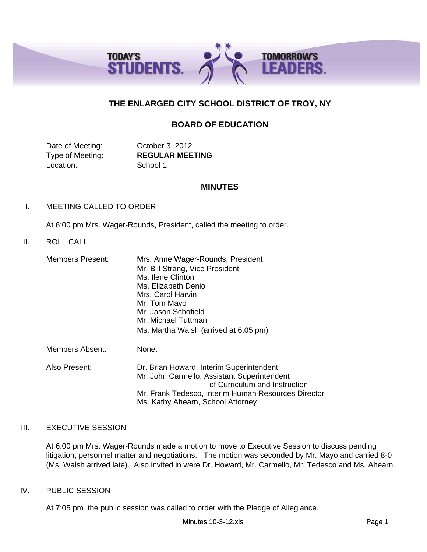

# **THE ENLARGED CITY SCHOOL DISTRICT OF TROY, NY**

# **BOARD OF EDUCATION**

Date of Meeting: **October 3, 2012** Location: School 1

Type of Meeting: **REGULAR MEETING**

## **MINUTES**

## I. MEETING CALLED TO ORDER

At 6:00 pm Mrs. Wager-Rounds, President, called the meeting to order.

# II. ROLL CALL

| <b>Members Present:</b> | Mrs. Anne Wager-Rounds, President<br>Mr. Bill Strang, Vice President<br>Ms. Ilene Clinton<br>Ms. Elizabeth Denio<br>Mrs. Carol Harvin<br>Mr. Tom Mayo<br>Mr. Jason Schofield<br>Mr. Michael Tuttman<br>Ms. Martha Walsh (arrived at 6:05 pm) |
|-------------------------|----------------------------------------------------------------------------------------------------------------------------------------------------------------------------------------------------------------------------------------------|
| <b>Members Absent:</b>  | None.                                                                                                                                                                                                                                        |
| Also Present:           | Dr. Brian Howard, Interim Superintendent<br>Mr. John Carmello, Assistant Superintendent<br>of Curriculum and Instruction<br>Mr. Frank Tedesco, Interim Human Resources Director<br>Ms. Kathy Ahearn, School Attorney                         |

### III. EXECUTIVE SESSION

At 6:00 pm Mrs. Wager-Rounds made a motion to move to Executive Session to discuss pending litigation, personnel matter and negotiations. The motion was seconded by Mr. Mayo and carried 8-0 (Ms. Walsh arrived late). Also invited in were Dr. Howard, Mr. Carmello, Mr. Tedesco and Ms. Ahearn.

### IV. PUBLIC SESSION

At 7:05 pm the public session was called to order with the Pledge of Allegiance.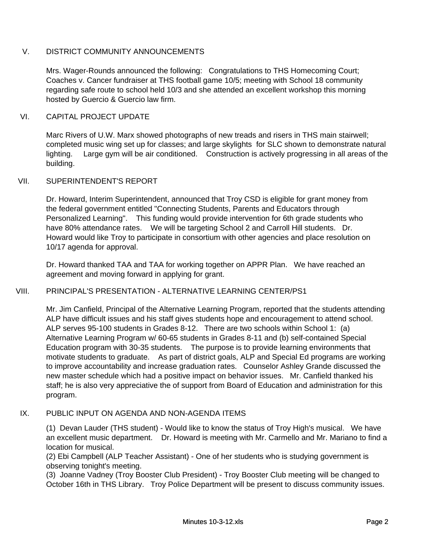# V. DISTRICT COMMUNITY ANNOUNCEMENTS

Mrs. Wager-Rounds announced the following: Congratulations to THS Homecoming Court; Coaches v. Cancer fundraiser at THS football game 10/5; meeting with School 18 community regarding safe route to school held 10/3 and she attended an excellent workshop this morning hosted by Guercio & Guercio law firm.

# VI. CAPITAL PROJECT UPDATE

Marc Rivers of U.W. Marx showed photographs of new treads and risers in THS main stairwell; completed music wing set up for classes; and large skylights for SLC shown to demonstrate natural lighting. Large gym will be air conditioned. Construction is actively progressing in all areas of the building.

# VII. SUPERINTENDENT'S REPORT

Dr. Howard, Interim Superintendent, announced that Troy CSD is eligible for grant money from the federal government entitled "Connecting Students, Parents and Educators through Personalized Learning". This funding would provide intervention for 6th grade students who have 80% attendance rates. We will be targeting School 2 and Carroll Hill students. Dr. Howard would like Troy to participate in consortium with other agencies and place resolution on 10/17 agenda for approval.

Dr. Howard thanked TAA and TAA for working together on APPR Plan. We have reached an agreement and moving forward in applying for grant.

# VIII. PRINCIPAL'S PRESENTATION - ALTERNATIVE LEARNING CENTER/PS1

Mr. Jim Canfield, Principal of the Alternative Learning Program, reported that the students attending ALP have difficult issues and his staff gives students hope and encouragement to attend school. ALP serves 95-100 students in Grades 8-12. There are two schools within School 1: (a) Alternative Learning Program w/ 60-65 students in Grades 8-11 and (b) self-contained Special Education program with 30-35 students. The purpose is to provide learning environments that motivate students to graduate. As part of district goals, ALP and Special Ed programs are working to improve accountability and increase graduation rates. Counselor Ashley Grande discussed the new master schedule which had a positive impact on behavior issues. Mr. Canfield thanked his staff; he is also very appreciative the of support from Board of Education and administration for this program.

# IX. PUBLIC INPUT ON AGENDA AND NON-AGENDA ITEMS

(1) Devan Lauder (THS student) - Would like to know the status of Troy High's musical. We have an excellent music department. Dr. Howard is meeting with Mr. Carmello and Mr. Mariano to find a location for musical.

(2) Ebi Campbell (ALP Teacher Assistant) - One of her students who is studying government is observing tonight's meeting.

(3) Joanne Vadney (Troy Booster Club President) - Troy Booster Club meeting will be changed to October 16th in THS Library. Troy Police Department will be present to discuss community issues.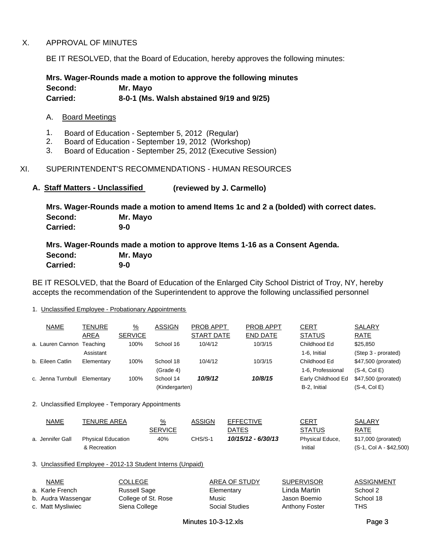## X. APPROVAL OF MINUTES

BE IT RESOLVED, that the Board of Education, hereby approves the following minutes:

**Mrs. Wager-Rounds made a motion to approve the following minutes Second: Mr. Mayo Carried: 8-0-1 (Ms. Walsh abstained 9/19 and 9/25)**

### A. Board Meetings

- 1. Board of Education September 5, 2012 (Regular)
- 2. Board of Education September 19, 2012 (Workshop)
- 3. Board of Education September 25, 2012 (Executive Session)

# XI. SUPERINTENDENT'S RECOMMENDATIONS - HUMAN RESOURCES

### **A. Staff Matters - Unclassified (reviewed by J. Carmello)**

**Mrs. Wager-Rounds made a motion to amend Items 1c and 2 a (bolded) with correct dates. Carried: 9-0 Second: Mr. Mayo**

**Mrs. Wager-Rounds made a motion to approve Items 1-16 as a Consent Agenda. Second: Mr. Mayo** Second: **Carried: 9-0** 

BE IT RESOLVED, that the Board of Education of the Enlarged City School District of Troy, NY, hereby accepts the recommendation of the Superintendent to approve the following unclassified personnel

#### 1. Unclassified Employee - Probationary Appointments

| <b>NAME</b>                                                 | TENURE<br>AREA                            | $\frac{9}{6}$<br><b>SERVICE</b>                              | <b>ASSIGN</b>                   | PROB APPT<br><b>START DATE</b> | <b>PROB APPT</b><br><b>END DATE</b> | <u>CERT</u><br><b>STATUS</b>                      | SALARY<br><b>RATE</b>                          |
|-------------------------------------------------------------|-------------------------------------------|--------------------------------------------------------------|---------------------------------|--------------------------------|-------------------------------------|---------------------------------------------------|------------------------------------------------|
| a. Lauren Cannon Teaching                                   | Assistant                                 | 100%                                                         | School 16                       | 10/4/12                        | 10/3/15                             | Childhood Ed<br>1-6, Initial                      | \$25,850<br>(Step 3 - prorated)                |
| b. Eileen Catlin                                            | Elementary                                | 100%                                                         | School 18<br>(Grade 4)          | 10/4/12                        | 10/3/15                             | Childhood Ed<br>1-6, Professional                 | \$47,500 (prorated)<br>$(S-4, Col E)$          |
| c. Jenna Turnbull                                           | Elementary                                | 100%                                                         | School 14<br>(Kindergarten)     | 10/9/12                        | 10/8/15                             | Early Childhood Ed<br>B-2, Initial                | \$47,500 (prorated)<br>$(S-4, Col E)$          |
| 2. Unclassified Employee - Temporary Appointments           |                                           |                                                              |                                 |                                |                                     |                                                   |                                                |
| <b>NAME</b>                                                 | TENURE AREA                               |                                                              | $\frac{9}{6}$<br><b>SERVICE</b> | <b>ASSIGN</b>                  | <b>EFFECTIVE</b><br><b>DATES</b>    | <b>CERT</b><br><b>STATUS</b>                      | SALARY<br>RATE                                 |
| a. Jennifer Gall                                            | <b>Physical Education</b><br>& Recreation |                                                              | 40%                             | CHS/S-1                        | 10/15/12 - 6/30/13                  | Physical Educe,<br>Initial                        | \$17,000 (prorated)<br>(S-1, Col A - \$42,500) |
| 3. Unclassified Employee - 2012-13 Student Interns (Unpaid) |                                           |                                                              |                                 |                                |                                     |                                                   |                                                |
| <b>NAME</b><br>a. Karle French<br>b. Audra Wassengar        |                                           | <b>COLLEGE</b><br><b>Russell Sage</b><br>College of St. Rose |                                 | Music                          | AREA OF STUDY<br>Elementary         | <b>SUPERVISOR</b><br>Linda Martin<br>Jason Boemio | ASSIGNMENT<br>School 2<br>School 18            |

c. Matt Mysliwiec  $\sim$  Siena College Siena Social Studies Anthony Foster THS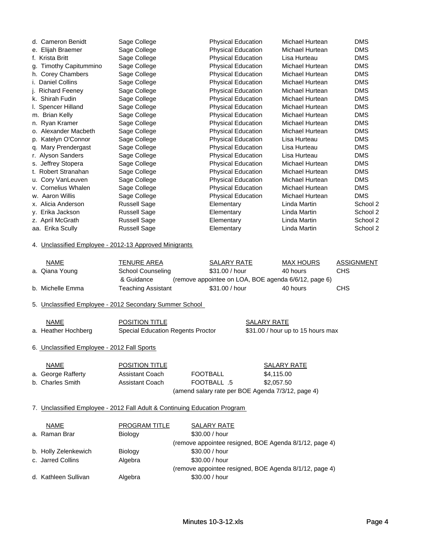| d. Cameron Benidt      | Sage College        | <b>Physical Education</b> | Michael Hurtean | <b>DMS</b> |
|------------------------|---------------------|---------------------------|-----------------|------------|
| e. Elijah Braemer      | Sage College        | <b>Physical Education</b> | Michael Hurtean | <b>DMS</b> |
| f. Krista Britt        | Sage College        | <b>Physical Education</b> | Lisa Hurteau    | <b>DMS</b> |
| g. Timothy Capitummino | Sage College        | <b>Physical Education</b> | Michael Hurtean | <b>DMS</b> |
| h. Corey Chambers      | Sage College        | <b>Physical Education</b> | Michael Hurtean | <b>DMS</b> |
| i. Daniel Collins      | Sage College        | <b>Physical Education</b> | Michael Hurtean | <b>DMS</b> |
| j. Richard Feeney      | Sage College        | <b>Physical Education</b> | Michael Hurtean | <b>DMS</b> |
| k. Shirah Fudin        | Sage College        | <b>Physical Education</b> | Michael Hurtean | <b>DMS</b> |
| I. Spencer Hilland     | Sage College        | <b>Physical Education</b> | Michael Hurtean | <b>DMS</b> |
| m. Brian Kelly         | Sage College        | Physical Education        | Michael Hurtean | <b>DMS</b> |
| n. Ryan Kramer         | Sage College        | <b>Physical Education</b> | Michael Hurtean | <b>DMS</b> |
| o. Alexander Macbeth   | Sage College        | <b>Physical Education</b> | Michael Hurtean | <b>DMS</b> |
| p. Katelyn O'Connor    | Sage College        | <b>Physical Education</b> | Lisa Hurteau    | <b>DMS</b> |
| g. Mary Prendergast    | Sage College        | <b>Physical Education</b> | Lisa Hurteau    | <b>DMS</b> |
| r. Alyson Sanders      | Sage College        | <b>Physical Education</b> | Lisa Hurteau    | <b>DMS</b> |
| s. Jeffrey Stopera     | Sage College        | <b>Physical Education</b> | Michael Hurtean | <b>DMS</b> |
| t. Robert Stranahan    | Sage College        | <b>Physical Education</b> | Michael Hurtean | <b>DMS</b> |
| u. Cory VanLeuven      | Sage College        | <b>Physical Education</b> | Michael Hurtean | <b>DMS</b> |
| v. Cornelius Whalen    | Sage College        | <b>Physical Education</b> | Michael Hurtean | <b>DMS</b> |
| w. Aaron Willis        | Sage College        | <b>Physical Education</b> | Michael Hurtean | <b>DMS</b> |
| x. Alicia Anderson     | <b>Russell Sage</b> | Elementary                | Linda Martin    | School 2   |
| y. Erika Jackson       | <b>Russell Sage</b> | Elementary                | Linda Martin    | School 2   |
| z. April McGrath       | <b>Russell Sage</b> | Elementary                | Linda Martin    | School 2   |
| aa. Erika Scully       | <b>Russell Sage</b> | Elementary                | Linda Martin    | School 2   |

### 4. Unclassified Employee - 2012-13 Approved Minigrants

| NAME             | TENURE AREA               | SALARY RATE                                          | MAX HOURS | ASSIGNMENT |
|------------------|---------------------------|------------------------------------------------------|-----------|------------|
| a. Qiana Young   | School Counseling         | \$31.00 / hour                                       | 40 hours  | <b>CHS</b> |
|                  | & Guidance                | (remove appointee on LOA, BOE agenda 6/6/12, page 6) |           |            |
| b. Michelle Emma | <b>Teaching Assistant</b> | \$31.00 / hour                                       | 40 hours  | CHS        |

5. Unclassified Employee - 2012 Secondary Summer School

| <b>NAME</b>         | <b>POSITION TITLE</b>             | SALARY RATE                       |
|---------------------|-----------------------------------|-----------------------------------|
| a. Heather Hochberg | Special Education Regents Proctor | \$31.00 / hour up to 15 hours max |

# 6. Unclassified Employee - 2012 Fall Sports

| <b>NAME</b>        | <b>POSITION TITLE</b> |                                                   | SALARY RATE |
|--------------------|-----------------------|---------------------------------------------------|-------------|
| a. George Rafferty | Assistant Coach       | <b>FOOTBALL</b>                                   | \$4.115.00  |
| b. Charles Smith   | Assistant Coach       | 5. FOOTBALL                                       | \$2.057.50  |
|                    |                       | (amend salary rate per BOE Agenda 7/3/12, page 4) |             |

### 7. Unclassified Employee - 2012 Fall Adult & Continuing Education Program

| NAME                 | <b>PROGRAM TITLE</b> | <b>SALARY RATE</b>                                     |
|----------------------|----------------------|--------------------------------------------------------|
| a. Raman Brar        | Biology              | \$30.00 / hour                                         |
|                      |                      | (remove appointee resigned, BOE Agenda 8/1/12, page 4) |
| b. Holly Zelenkewich | Biology              | \$30.00 / hour                                         |
| c. Jarred Collins    | Algebra              | \$30.00 / hour                                         |
|                      |                      | (remove appointee resigned, BOE Agenda 8/1/12, page 4) |
| d. Kathleen Sullivan | Algebra              | \$30.00 / hour                                         |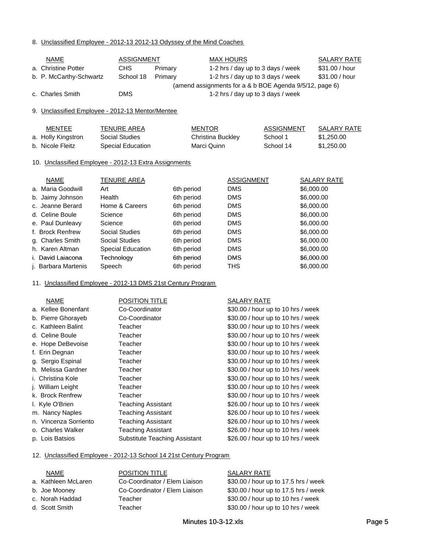#### 8. Unclassified Employee - 2012-13 2012-13 Odyssey of the Mind Coaches

| <b>NAME</b>                                           |                          | <b>ASSIGNMENT</b> |         |                   | <b>MAX HOURS</b>  |                                                         |            | <b>SALARY RATE</b> |
|-------------------------------------------------------|--------------------------|-------------------|---------|-------------------|-------------------|---------------------------------------------------------|------------|--------------------|
| a. Christine Potter                                   | <b>CHS</b>               |                   | Primary |                   |                   | 1-2 hrs / day up to 3 days / week                       |            | \$31.00 / hour     |
| b. P. McCarthy-Schwartz                               |                          | School 18         | Primary |                   |                   | 1-2 hrs / day up to 3 days / week                       |            | \$31.00 / hour     |
|                                                       |                          |                   |         |                   |                   | (amend assignments for a & b BOE Agenda 9/5/12, page 6) |            |                    |
| c. Charles Smith                                      | <b>DMS</b>               |                   |         |                   |                   | 1-2 hrs / day up to 3 days / week                       |            |                    |
|                                                       |                          |                   |         |                   |                   |                                                         |            |                    |
| 9. Unclassified Employee - 2012-13 Mentor/Mentee      |                          |                   |         |                   |                   |                                                         |            |                    |
|                                                       |                          |                   |         |                   |                   |                                                         |            |                    |
| <b>MENTEE</b>                                         | <b>TENURE AREA</b>       |                   |         | <b>MENTOR</b>     |                   | <b>ASSIGNMENT</b>                                       |            | <b>SALARY RATE</b> |
| a. Holly Kingstron                                    | Social Studies           |                   |         | Christina Buckley |                   | School 1                                                |            | \$1,250.00         |
| b. Nicole Fleitz                                      | <b>Special Education</b> |                   |         | Marci Quinn       |                   | School 14                                               |            | \$1,250.00         |
|                                                       |                          |                   |         |                   |                   |                                                         |            |                    |
| 10. Unclassified Employee - 2012-13 Extra Assignments |                          |                   |         |                   |                   |                                                         |            |                    |
|                                                       |                          |                   |         |                   |                   |                                                         |            |                    |
| <b>NAME</b>                                           | <b>TENURE AREA</b>       |                   |         |                   | <b>ASSIGNMENT</b> |                                                         |            | <b>SALARY RATE</b> |
| a. Maria Goodwill                                     | Art                      |                   |         | 6th period        | <b>DMS</b>        |                                                         | \$6,000.00 |                    |
| b. Jaimy Johnson                                      | Health                   |                   |         | 6th period        | <b>DMS</b>        |                                                         | \$6,000.00 |                    |
| c. Jeanne Berard                                      | Home & Careers           |                   |         | 6th period        | <b>DMS</b>        |                                                         | \$6,000.00 |                    |
| d. Celine Boule                                       | Science                  |                   |         | 6th period        | <b>DMS</b>        |                                                         | \$6,000.00 |                    |
| e. Paul Dunleavy                                      | Science                  |                   |         | 6th period        | <b>DMS</b>        |                                                         | \$6,000.00 |                    |
| f. Brock Renfrew                                      | <b>Social Studies</b>    |                   |         | 6th period        | <b>DMS</b>        |                                                         | \$6,000.00 |                    |

#### 11. Unclassified Employee - 2012-13 DMS 21st Century Program

g. Charles Smith Social Studies 6th period DMS h. Karen Altman Special Education 6th period DMS i David Laiacona Technology 6th period DMS i. David 6th

j. Barbara Martenis Speech 6th period THS

| <b>NAME</b>           | POSITION TITLE                       | SALARY RATE                        |
|-----------------------|--------------------------------------|------------------------------------|
| a. Kellee Bonenfant   | Co-Coordinator                       | \$30.00 / hour up to 10 hrs / week |
| b. Pierre Ghorayeb    | Co-Coordinator                       | \$30.00 / hour up to 10 hrs / week |
| c. Kathleen Balint    | Teacher                              | \$30.00 / hour up to 10 hrs / week |
| d. Celine Boule       | Teacher                              | \$30.00 / hour up to 10 hrs / week |
| e. Hope DeBevoise     | Teacher                              | \$30.00 / hour up to 10 hrs / week |
| f. Erin Degnan        | Teacher                              | \$30.00 / hour up to 10 hrs / week |
| g. Sergio Espinal     | Teacher                              | \$30.00 / hour up to 10 hrs / week |
| h. Melissa Gardner    | Teacher                              | \$30.00 / hour up to 10 hrs / week |
| i. Christina Kole     | Teacher                              | \$30.00 / hour up to 10 hrs / week |
| j. William Leight     | Teacher                              | \$30.00 / hour up to 10 hrs / week |
| k. Brock Renfrew      | Teacher                              | \$30.00 / hour up to 10 hrs / week |
| I. Kyle O'Brien       | <b>Teaching Assistant</b>            | \$26.00 / hour up to 10 hrs / week |
| m. Nancy Naples       | <b>Teaching Assistant</b>            | \$26.00 / hour up to 10 hrs / week |
| n. Vincenza Sorriento | <b>Teaching Assistant</b>            | \$26.00 / hour up to 10 hrs / week |
| o. Charles Walker     | <b>Teaching Assistant</b>            | \$26.00 / hour up to 10 hrs / week |
| p. Lois Batsios       | <b>Substitute Teaching Assistant</b> | \$26.00 / hour up to 10 hrs / week |

#### 12. Unclassified Employee - 2012-13 School 14 21st Century Program

| NAME                |
|---------------------|
| a. Kathleen McLaren |
| b. Joe Mooney       |
| c. Norah Haddad     |
| d Scott Smith       |

#### POSITION TITLE SALARY RATE

Co-Coordinator / Elem Liaison \$30.00 / hour up to 17.5 hrs / week Co-Coordinator / Elem Liaison \$30.00 / hour up to 17.5 hrs / week Teacher  $$30.00 / hour$  up to 10 hrs / week d. Scott Smith Teacher **Teacher 10** Teacher **\$30.00** / hour up to 10 hrs / week

\$6,000.00

\$6,000.00

\$6,000.00 \$6,000.00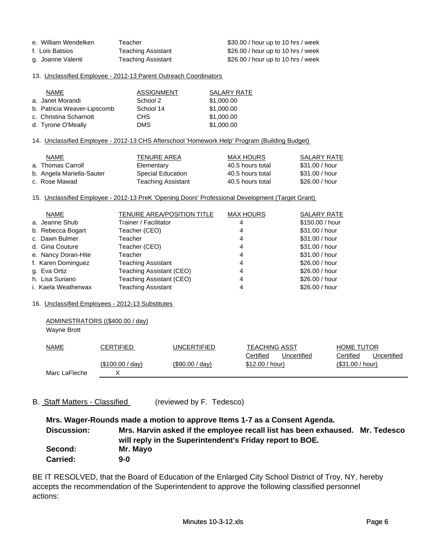| e. William Wendelken | Teacher                   | \$30.00 / hour up to 10 hrs / week |
|----------------------|---------------------------|------------------------------------|
| f. Lois Batsios      | Teaching Assistant        | \$26.00 / hour up to 10 hrs / week |
| g. Joanne Valenti    | <b>Teaching Assistant</b> | \$26.00 / hour up to 10 hrs / week |

#### 13. Unclassified Employee - 2012-13 Parent Outreach Coordinators

| <b>NAME</b>                 | <b>ASSIGNMENT</b> | SALARY RATE |
|-----------------------------|-------------------|-------------|
| a. Janet Morandi            | School 2          | \$1,000.00  |
| b. Patricia Weaver-Lipscomb | School 14         | \$1,000.00  |
| c. Christina Scharnott      | <b>CHS</b>        | \$1,000.00  |
| d. Tyrone O'Meally          | <b>DMS</b>        | \$1,000.00  |

#### 14. Unclassified Employee - 2012-13 CHS Afterschool 'Homework Help' Program (Building Budget)

| <b>NAME</b>               | TENURE AREA              | MAX HOURS        | SALARY RATE    |
|---------------------------|--------------------------|------------------|----------------|
| a. Thomas Carroll         | Elementary               | 40.5 hours total | \$31.00 / hour |
| b. Angela Mariella-Sauter | <b>Special Education</b> | 40.5 hours total | \$31.00 / hour |
| c. Rose Mawad             | Teaching Assistant       | 40.5 hours total | \$26,00 / hour |

#### 15. Unclassified Employee - 2012-13 PreK 'Opening Doors' Professional Development (Target Grant)

| <b>NAME</b>         | <b>TENURE AREA/POSITION TITLE</b> | <b>MAX HOURS</b> | <b>SALARY RATE</b> |
|---------------------|-----------------------------------|------------------|--------------------|
| a. Jeanne Shub      | Trainer / Facilitator             |                  | \$150.00 / hour    |
| b. Rebecca Bogart   | Teacher (CEO)                     | 4                | \$31.00 / hour     |
| c. Dawn Bulmer      | Teacher                           | 4                | \$31.00 / hour     |
| d. Gina Couture     | Teacher (CEO)                     | 4                | \$31.00 / hour     |
| e. Nancy Doran-Hite | Teacher                           | 4                | \$31.00 / hour     |
| f. Karen Dominguez  | <b>Teaching Assistant</b>         | 4                | \$26.00 / hour     |
| g. Eva Ortiz        | Teaching Assistant (CEO)          | 4                | \$26.00 / hour     |
| h. Lisa Suriano     | Teaching Assistant (CEO)          | 4                | \$26.00 / hour     |
| i. Kaela Weatherwax | <b>Teaching Assistant</b>         |                  | \$26,00 / hour     |

#### 16. Unclassified Employees - 2012-13 Substitutes

ADMINISTRATORS ((\$400.00 / day)

| Wayne Brott   |                  |                   |                          |                          |
|---------------|------------------|-------------------|--------------------------|--------------------------|
| <b>NAME</b>   | CERTIFIED        | UNCERTIFIED       | <b>TEACHING ASST</b>     | <b>HOME TUTOR</b>        |
|               |                  |                   | Certified<br>Uncertified | Certified<br>Uncertified |
|               | (\$100.00 / day) | $(\$90.00 / day)$ | \$12.00 / hour)          | (\$31.00 / hour)         |
| Marc LaFleche | ν                |                   |                          |                          |

### B. Staff Matters - Classified (reviewed by F. Tedesco)

**Mrs. Wager-Rounds made a motion to approve Items 1-7 as a Consent Agenda. Discussion: Second: Mr. Mayo Carried: 9-0 Mrs. Harvin asked if the employee recall list has been exhaused. Mr. Tedesco will reply in the Superintendent's Friday report to BOE.**

BE IT RESOLVED, that the Board of Education of the Enlarged City School District of Troy, NY, hereby accepts the recommendation of the Superintendent to approve the following classified personnel actions: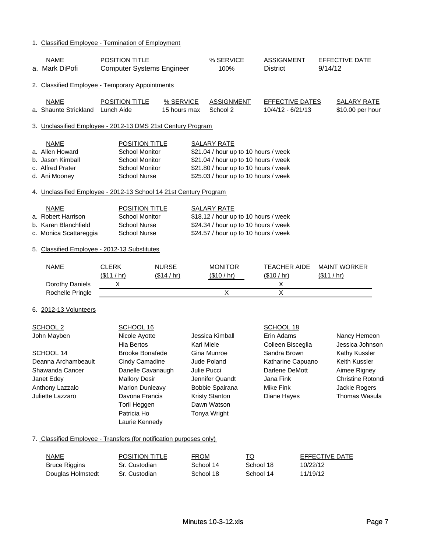### 1. Classified Employee - Termination of Employment

| <b>NAME</b><br>a. Mark DiPofi                                                                                                                                | POSITION TITLE<br><b>Computer Systems Engineer</b>                                                                                                                                                                                           |                             | % SERVICE<br>100%                                                                                                                                                                  | <b>District</b>                      | <b>ASSIGNMENT</b>                                                                                    | <b>EFFECTIVE DATE</b><br>9/14/12                                                                                                                |
|--------------------------------------------------------------------------------------------------------------------------------------------------------------|----------------------------------------------------------------------------------------------------------------------------------------------------------------------------------------------------------------------------------------------|-----------------------------|------------------------------------------------------------------------------------------------------------------------------------------------------------------------------------|--------------------------------------|------------------------------------------------------------------------------------------------------|-------------------------------------------------------------------------------------------------------------------------------------------------|
| 2. Classified Employee - Temporary Appointments                                                                                                              |                                                                                                                                                                                                                                              |                             |                                                                                                                                                                                    |                                      |                                                                                                      |                                                                                                                                                 |
| <b>NAME</b><br>a. Shaunte Strickland                                                                                                                         | POSITION TITLE<br>Lunch Aide                                                                                                                                                                                                                 | % SERVICE<br>15 hours max   | <b>ASSIGNMENT</b><br>School 2                                                                                                                                                      |                                      | <b>EFFECTIVE DATES</b><br>10/4/12 - 6/21/13                                                          | <b>SALARY RATE</b><br>\$10.00 per hour                                                                                                          |
| 3. Unclassified Employee - 2012-13 DMS 21st Century Program                                                                                                  |                                                                                                                                                                                                                                              |                             |                                                                                                                                                                                    |                                      |                                                                                                      |                                                                                                                                                 |
| <b>NAME</b><br>a. Allen Howard<br>b. Jason Kimball<br>c. Alfred Prater<br>d. Ani Mooney<br>4. Unclassified Employee - 2012-13 School 14 21st Century Program | <b>POSITION TITLE</b><br><b>School Monitor</b><br><b>School Monitor</b><br>School Monitor<br><b>School Nurse</b>                                                                                                                             |                             | <b>SALARY RATE</b><br>\$21.04 / hour up to 10 hours / week<br>\$21.04 / hour up to 10 hours / week<br>\$21.80 / hour up to 10 hours / week<br>\$25.03 / hour up to 10 hours / week |                                      |                                                                                                      |                                                                                                                                                 |
|                                                                                                                                                              |                                                                                                                                                                                                                                              |                             |                                                                                                                                                                                    |                                      |                                                                                                      |                                                                                                                                                 |
| a. Robert Harrison<br>b. Karen Blanchfield                                                                                                                   | <b>NAME</b><br>POSITION TITLE<br><b>School Monitor</b><br><b>School Nurse</b><br>c. Monica Scattareggia<br><b>School Nurse</b>                                                                                                               |                             | <b>SALARY RATE</b><br>\$18.12 / hour up to 10 hours / week<br>\$24.34 / hour up to 10 hours / week<br>\$24.57 / hour up to 10 hours / week                                         |                                      |                                                                                                      |                                                                                                                                                 |
| 5. Classified Employee - 2012-13 Substitutes                                                                                                                 |                                                                                                                                                                                                                                              |                             |                                                                                                                                                                                    |                                      |                                                                                                      |                                                                                                                                                 |
| <b>NAME</b><br>Dorothy Daniels<br>Rochelle Pringle                                                                                                           | <b>CLERK</b><br>(\$11/hr)<br>X                                                                                                                                                                                                               | <b>NURSE</b><br>(\$14 / hr) | <b>MONITOR</b><br>(\$10 / hr)<br>X                                                                                                                                                 | (\$10 / hr)                          | <b>TEACHER AIDE</b><br>X<br>X                                                                        | <b>MAINT WORKER</b><br>(\$11 / hr)                                                                                                              |
| 6. 2012-13 Volunteers                                                                                                                                        |                                                                                                                                                                                                                                              |                             |                                                                                                                                                                                    |                                      |                                                                                                      |                                                                                                                                                 |
| SCHOOL <sub>2</sub><br>John Mayben<br>SCHOOL 14<br>Deanna Archambeault<br>Shawanda Cancer<br>Janet Edey<br>Anthony Lazzalo<br>Juliette Lazzaro               | SCHOOL 16<br>Nicole Ayotte<br><b>Hia Bertos</b><br><b>Brooke Bonafede</b><br>Cindy Camadine<br>Danelle Cavanaugh<br><b>Mallory Desir</b><br><b>Marion Dunleavy</b><br>Davona Francis<br><b>Toril Heggen</b><br>Patricia Ho<br>Laurie Kennedy |                             | Jessica Kimball<br>Kari Miele<br>Gina Munroe<br><b>Jude Poland</b><br>Julie Pucci<br>Jennifer Quandt<br>Bobbie Spairana<br><b>Kristy Stanton</b><br>Dawn Watson<br>Tonya Wright    | Erin Adams<br>Jana Fink<br>Mike Fink | SCHOOL 18<br>Colleen Bisceglia<br>Sandra Brown<br>Katharine Capuano<br>Darlene DeMott<br>Diane Hayes | Nancy Hemeon<br>Jessica Johnson<br>Kathy Kussler<br>Keith Kussler<br>Aimee Rigney<br><b>Christine Rotondi</b><br>Jackie Rogers<br>Thomas Wasula |
| 7. Classified Employee - Transfers (for notification purposes only)                                                                                          |                                                                                                                                                                                                                                              |                             |                                                                                                                                                                                    |                                      |                                                                                                      |                                                                                                                                                 |
| <b>NAME</b><br><b>Bruce Riggins</b><br>Douglas Holmstedt                                                                                                     | <b>POSITION TITLE</b><br>Sr. Custodian<br>Sr. Custodian                                                                                                                                                                                      | <b>FROM</b>                 | School 14<br>School 18                                                                                                                                                             | <u>TO</u><br>School 18<br>School 14  | 10/22/12<br>11/19/12                                                                                 | <b>EFFECTIVE DATE</b>                                                                                                                           |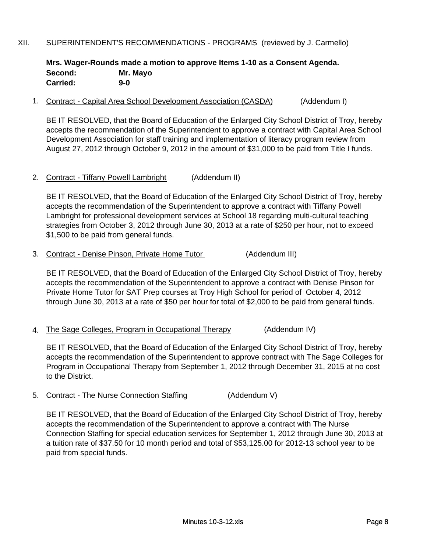# XII. SUPERINTENDENT'S RECOMMENDATIONS - PROGRAMS (reviewed by J. Carmello)

# **Mrs. Wager-Rounds made a motion to approve Items 1-10 as a Consent Agenda. Second: Mr. Mayo Carried: 9-0**

## 1. Contract - Capital Area School Development Association (CASDA) (Addendum I)

BE IT RESOLVED, that the Board of Education of the Enlarged City School District of Troy, hereby accepts the recommendation of the Superintendent to approve a contract with Capital Area School Development Association for staff training and implementation of literacy program review from August 27, 2012 through October 9, 2012 in the amount of \$31,000 to be paid from Title I funds.

## 2. Contract - Tiffany Powell Lambright (Addendum II)

BE IT RESOLVED, that the Board of Education of the Enlarged City School District of Troy, hereby accepts the recommendation of the Superintendent to approve a contract with Tiffany Powell Lambright for professional development services at School 18 regarding multi-cultural teaching strategies from October 3, 2012 through June 30, 2013 at a rate of \$250 per hour, not to exceed \$1,500 to be paid from general funds.

3. Contract - Denise Pinson, Private Home Tutor (Addendum III)

3. Contract - Denise Pinson, Private Home Tutor (Addendum III)<br>
BE IT RESOLVED, that the Board of Education of the Enlarged City School Dis<br>
accepts the recommendation of the Superintendent to approve a contract with I<br>
Pr BE IT RESOLVED, that the Board of Education of the Enlarged City School District of Troy, hereby accepts the recommendation of the Superintendent to approve a contract with Denise Pinson for Private Home Tutor for SAT Prep courses at Troy High School for period of October 4, 2012 through June 30, 2013 at a rate of \$50 per hour for total of \$2,000 to be paid from general funds.

BE IT RESOLVED, that the Board of Education of the Enlarged City School District of Troy, hereby accepts the recommendation of the Superintendent to approve contract with The Sage Colleges for Program in Occupational Therapy from September 1, 2012 through December 31, 2015 at no cost to the District.

5. Contract - The Nurse Connection Staffing (Addendum V)

BE IT RESOLVED, that the Board of Education of the Enlarged City School District of Troy, hereby accepts the recommendation of the Superintendent to approve a contract with The Nurse Connection Staffing for special education services for September 1, 2012 through June 30, 2013 at a tuition rate of \$37.50 for 10 month period and total of \$53,125.00 for 2012-13 school year to be paid from special funds.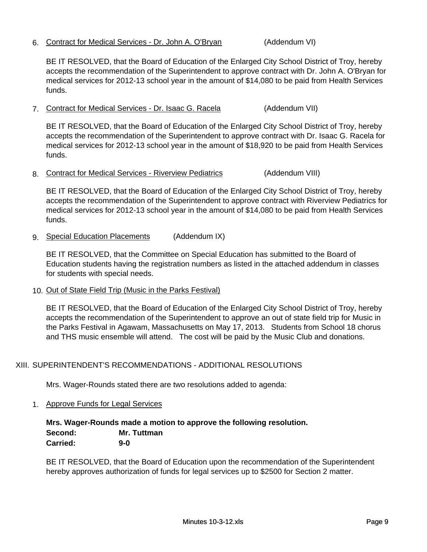# 6. Contract for Medical Services - Dr. John A. O'Bryan (Addendum VI)

BE IT RESOLVED, that the Board of Education of the Enlarged City School District of Troy, hereby accepts the recommendation of the Superintendent to approve contract with Dr. John A. O'Bryan for medical services for 2012-13 school year in the amount of \$14,080 to be paid from Health Services funds.

7. Contract for Medical Services - Dr. Isaac G. Racela (Addendum VII)

BE IT RESOLVED, that the Board of Education of the Enlarged City School District of Troy, hereby accepts the recommendation of the Superintendent to approve contract with Dr. Isaac G. Racela for medical services for 2012-13 school year in the amount of \$18,920 to be paid from Health Services funds.

8. Contract for Medical Services - Riverview Pediatrics (Addendum VIII)

BE IT RESOLVED, that the Board of Education of the Enlarged City School District of Troy, hereby accepts the recommendation of the Superintendent to approve contract with Riverview Pediatrics for medical services for 2012-13 school year in the amount of \$14,080 to be paid from Health Services funds.

9. Special Education Placements (Addendum IX)

BE IT RESOLVED, that the Committee on Special Education has submitted to the Board of Education students having the registration numbers as listed in the attached addendum in classes for students with special needs.

10. Out of State Field Trip (Music in the Parks Festival)

BE IT RESOLVED, that the Board of Education of the Enlarged City School District of Troy, hereby accepts the recommendation of the Superintendent to approve an out of state field trip for Music in the Parks Festival in Agawam, Massachusetts on May 17, 2013. Students from School 18 chorus and THS music ensemble will attend. The cost will be paid by the Music Club and donations.

# XIII. SUPERINTENDENT'S RECOMMENDATIONS - ADDITIONAL RESOLUTIONS

Mrs. Wager-Rounds stated there are two resolutions added to agenda:

1. Approve Funds for Legal Services

**Mrs. Wager-Rounds made a motion to approve the following resolution. Second: Mr. Tuttman Carried: 9-0** 

BE IT RESOLVED, that the Board of Education upon the recommendation of the Superintendent hereby approves authorization of funds for legal services up to \$2500 for Section 2 matter.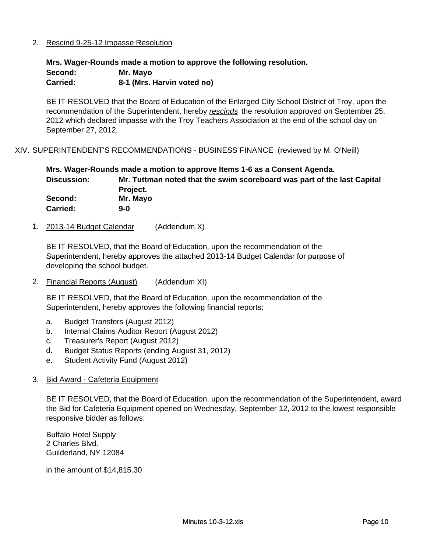# 2. Rescind 9-25-12 Impasse Resolution

**Mrs. Wager-Rounds made a motion to approve the following resolution.**

| <b>Second:</b> | Mr. Mayo                   |
|----------------|----------------------------|
| Carried:       | 8-1 (Mrs. Harvin voted no) |

BE IT RESOLVED that the Board of Education of the Enlarged City School District of Troy, upon the recommendation of the Superintendent, hereby *rescinds* the resolution approved on September 25, 2012 which declared impasse with the Troy Teachers Association at the end of the school day on September 27, 2012.

XIV. SUPERINTENDENT'S RECOMMENDATIONS - BUSINESS FINANCE (reviewed by M. O'Neill)

|                 | Mrs. Wager-Rounds made a motion to approve Items 1-6 as a Consent Agenda. |
|-----------------|---------------------------------------------------------------------------|
| Discussion:     | Mr. Tuttman noted that the swim scoreboard was part of the last Capital   |
|                 | Project.                                                                  |
| Second:         | Mr. Mayo                                                                  |
| <b>Carried:</b> | $9-0$                                                                     |

1. 2013-14 Budget Calendar (Addendum X)

BE IT RESOLVED, that the Board of Education, upon the recommendation of the Superintendent, hereby approves the attached 2013-14 Budget Calendar for purpose of developing the school budget.

2. Financial Reports (August) (Addendum XI)

BE IT RESOLVED, that the Board of Education, upon the recommendation of the Superintendent, hereby approves the following financial reports:

- a. Budget Transfers (August 2012)
- b. Internal Claims Auditor Report (August 2012)
- c. Treasurer's Report (August 2012)
- d. Budget Status Reports (ending August 31, 2012)
- e. Student Activity Fund (August 2012)
- 3. Bid Award Cafeteria Equipment

BE IT RESOLVED, that the Board of Education, upon the recommendation of the Superintendent, award the Bid for Cafeteria Equipment opened on Wednesday, September 12, 2012 to the lowest responsible responsive bidder as follows:

Buffalo Hotel Supply 2 Charles Blvd. Guilderland, NY 12084

in the amount of \$14,815.30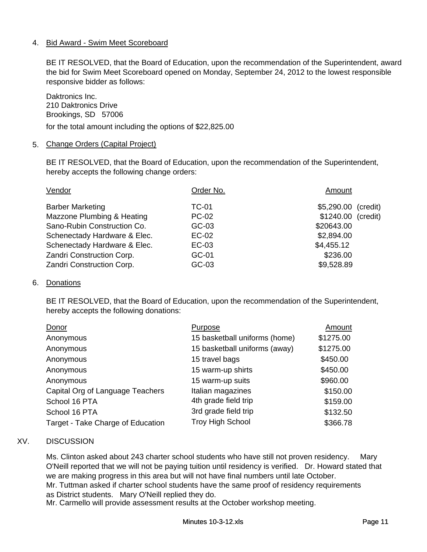# 4. Bid Award - Swim Meet Scoreboard

BE IT RESOLVED, that the Board of Education, upon the recommendation of the Superintendent, award the bid for Swim Meet Scoreboard opened on Monday, September 24, 2012 to the lowest responsible responsive bidder as follows:

Daktronics Inc. 210 Daktronics Drive Brookings, SD 57006

for the total amount including the options of \$22,825.00

## 5. Change Orders (Capital Project)

BE IT RESOLVED, that the Board of Education, upon the recommendation of the Superintendent, hereby accepts the following change orders:

| Order No.    | Amount              |
|--------------|---------------------|
| TC-01        | \$5,290.00 (credit) |
| <b>PC-02</b> | \$1240.00 (credit)  |
| $GC-03$      | \$20643.00          |
| EC-02        | \$2,894.00          |
| EC-03        | \$4,455.12          |
| GC-01        | \$236.00            |
| GC-03        | \$9,528.89          |
|              |                     |

### 6. Donations

BE IT RESOLVED, that the Board of Education, upon the recommendation of the Superintendent, hereby accepts the following donations:

| Donor                             | Purpose                       | Amount    |
|-----------------------------------|-------------------------------|-----------|
| Anonymous                         | 15 basketball uniforms (home) | \$1275.00 |
| Anonymous                         | 15 basketball uniforms (away) | \$1275.00 |
| Anonymous                         | 15 travel bags                | \$450.00  |
| Anonymous                         | 15 warm-up shirts             | \$450.00  |
| Anonymous                         | 15 warm-up suits              | \$960.00  |
| Capital Org of Language Teachers  | Italian magazines             | \$150.00  |
| School 16 PTA                     | 4th grade field trip          | \$159.00  |
| School 16 PTA                     | 3rd grade field trip          | \$132.50  |
| Target - Take Charge of Education | <b>Troy High School</b>       | \$366.78  |

# XV. DISCUSSION

Ms. Clinton asked about 243 charter school students who have still not proven residency. Mary O'Neill reported that we will not be paying tuition until residency is verified. Dr. Howard stated that we are making progress in this area but will not have final numbers until late October. Mr. Tuttman asked if charter school students have the same proof of residency requirements as District students. Mary O'Neill replied they do. Mr. Carmello will provide assessment results at the October workshop meeting.